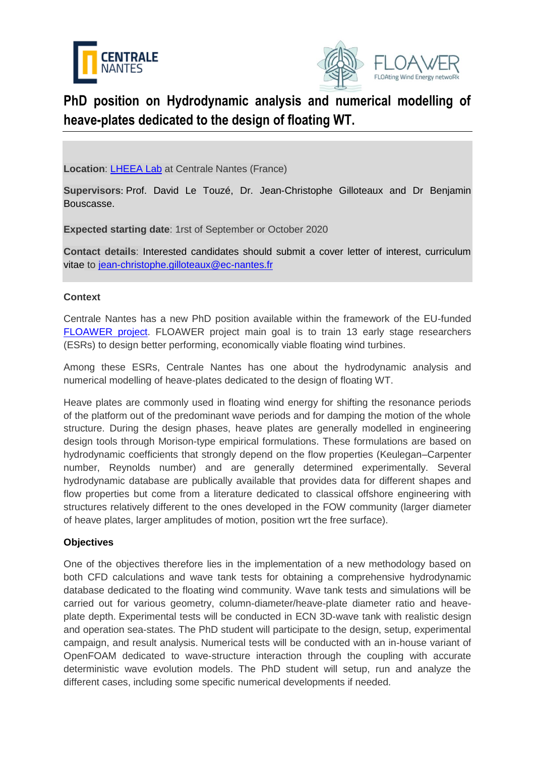



# **PhD position on Hydrodynamic analysis and numerical modelling of heave-plates dedicated to the design of floating WT.**

**Location**: [LHEEA Lab](https://lheea.ec-nantes.fr/) at Centrale Nantes (France)

**Supervisors**: Prof. David Le Touzé, Dr. Jean-Christophe Gilloteaux and Dr Benjamin Bouscasse.

**Expected starting date**: 1rst of September or October 2020

**Contact details**: Interested candidates should submit a cover letter of interest, curriculum vitae to [jean-christophe.gilloteaux@ec-nantes.fr](mailto:jean-christophe.gilloteaux@ec-nantes.fr)

## **Context**

Centrale Nantes has a new PhD position available within the framework of the EU-funded [FLOAWER project.](https://www.floawer-h2020.eu/) FLOAWER project main goal is to train 13 early stage researchers (ESRs) to design better performing, economically viable floating wind turbines.

Among these ESRs, Centrale Nantes has one about the hydrodynamic analysis and numerical modelling of heave-plates dedicated to the design of floating WT.

Heave plates are commonly used in floating wind energy for shifting the resonance periods of the platform out of the predominant wave periods and for damping the motion of the whole structure. During the design phases, heave plates are generally modelled in engineering design tools through Morison-type empirical formulations. These formulations are based on hydrodynamic coefficients that strongly depend on the flow properties (Keulegan–Carpenter number, Reynolds number) and are generally determined experimentally. Several hydrodynamic database are publically available that provides data for different shapes and flow properties but come from a literature dedicated to classical offshore engineering with structures relatively different to the ones developed in the FOW community (larger diameter of heave plates, larger amplitudes of motion, position wrt the free surface).

### **Objectives**

One of the objectives therefore lies in the implementation of a new methodology based on both CFD calculations and wave tank tests for obtaining a comprehensive hydrodynamic database dedicated to the floating wind community. Wave tank tests and simulations will be carried out for various geometry, column-diameter/heave-plate diameter ratio and heaveplate depth. Experimental tests will be conducted in ECN 3D-wave tank with realistic design and operation sea-states. The PhD student will participate to the design, setup, experimental campaign, and result analysis. Numerical tests will be conducted with an in-house variant of OpenFOAM dedicated to wave-structure interaction through the coupling with accurate deterministic wave evolution models. The PhD student will setup, run and analyze the different cases, including some specific numerical developments if needed.